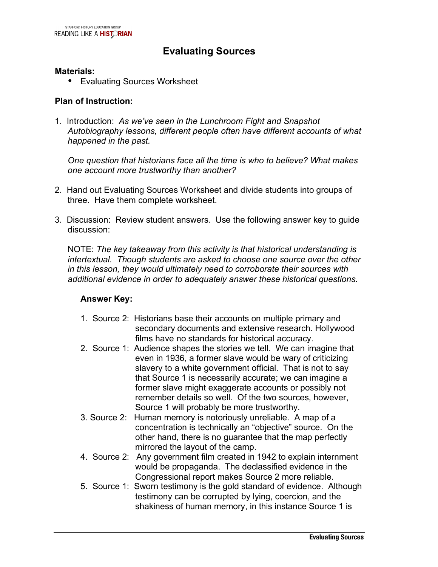## **Evaluating Sources**

#### **Materials:**

• Evaluating Sources Worksheet

#### **Plan of Instruction:**

1. Introduction: *As we've seen in the Lunchroom Fight and Snapshot Autobiography lessons, different people often have different accounts of what happened in the past.*

*One question that historians face all the time is who to believe? What makes one account more trustworthy than another?* 

- 2. Hand out Evaluating Sources Worksheet and divide students into groups of three. Have them complete worksheet.
- 3. Discussion: Review student answers. Use the following answer key to guide discussion:

NOTE: *The key takeaway from this activity is that historical understanding is intertextual. Though students are asked to choose one source over the other in this lesson, they would ultimately need to corroborate their sources with additional evidence in order to adequately answer these historical questions.*

#### **Answer Key:**

- 1. Source 2: Historians base their accounts on multiple primary and secondary documents and extensive research. Hollywood films have no standards for historical accuracy.
- 2. Source 1: Audience shapes the stories we tell. We can imagine that even in 1936, a former slave would be wary of criticizing slavery to a white government official. That is not to say that Source 1 is necessarily accurate; we can imagine a former slave might exaggerate accounts or possibly not remember details so well. Of the two sources, however, Source 1 will probably be more trustworthy.
- 3. Source 2: Human memory is notoriously unreliable. A map of a concentration is technically an "objective" source. On the other hand, there is no guarantee that the map perfectly mirrored the layout of the camp.
- 4. Source 2: Any government film created in 1942 to explain internment would be propaganda. The declassified evidence in the Congressional report makes Source 2 more reliable.
- 5. Source 1: Sworn testimony is the gold standard of evidence. Although testimony can be corrupted by lying, coercion, and the shakiness of human memory, in this instance Source 1 is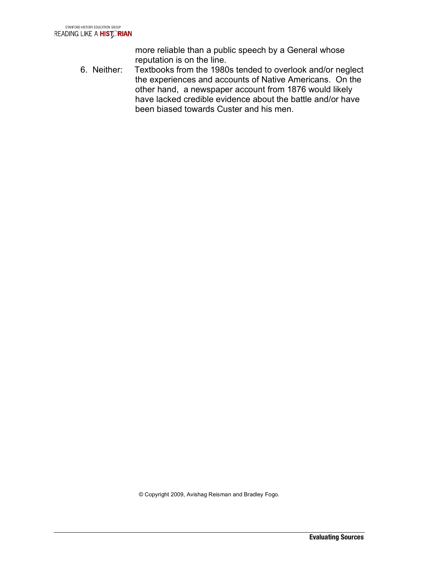more reliable than a public speech by a General whose reputation is on the line.

6. Neither: Textbooks from the 1980s tended to overlook and/or neglect the experiences and accounts of Native Americans. On the other hand, a newspaper account from 1876 would likely have lacked credible evidence about the battle and/or have been biased towards Custer and his men.

© Copyright 2009, Avishag Reisman and Bradley Fogo.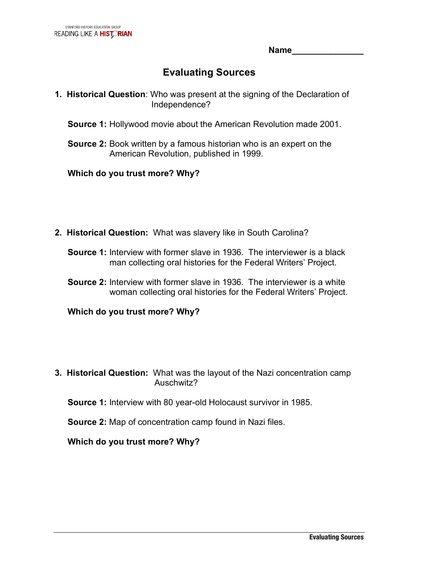**Name\_\_\_\_\_\_\_\_\_\_\_\_\_\_\_**

# **Evaluating Sources**

- **1. Historical Question**: Who was present at the signing of the Declaration of Independence?
	- **Source 1:** Hollywood movie about the American Revolution made 2001.
	- **Source 2:** Book written by a famous historian who is an expert on the American Revolution, published in 1999.

## **Which do you trust more? Why?**

- **2. Historical Question:** What was slavery like in South Carolina?
	- **Source 1:** Interview with former slave in 1936. The interviewer is a black man collecting oral histories for the Federal Writers' Project.
	- **Source 2:** Interview with former slave in 1936. The interviewer is a white woman collecting oral histories for the Federal Writers' Project.

**Which do you trust more? Why?**

**3. Historical Question:** What was the layout of the Nazi concentration camp Auschwitz?

**Source 1:** Interview with 80 year-old Holocaust survivor in 1985.

**Source 2:** Map of concentration camp found in Nazi files.

**Which do you trust more? Why?**